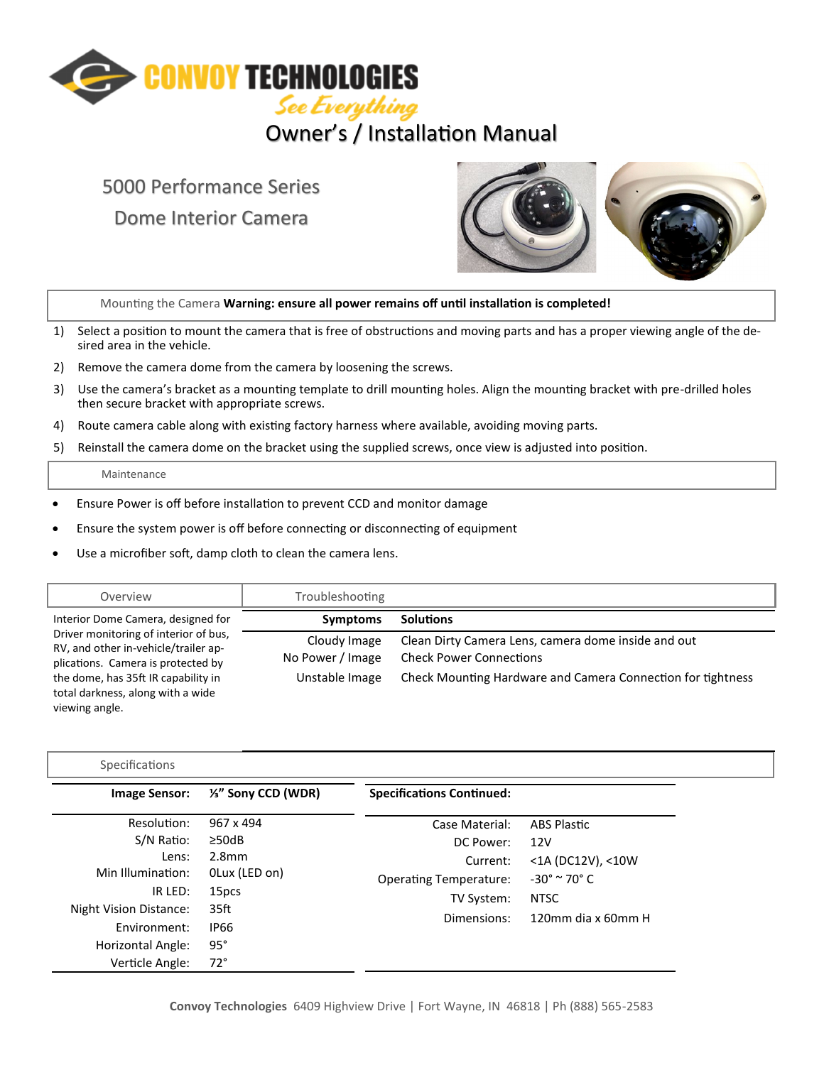

## Owner's / Installation Manual

5000 Performance Series Dome Interior Camera



Mounting the Camera **Warning: ensure all power remains off until installation is completed!**

- 1) Select a position to mount the camera that is free of obstructions and moving parts and has a proper viewing angle of the desired area in the vehicle.
- 2) Remove the camera dome from the camera by loosening the screws.
- 3) Use the camera's bracket as a mounting template to drill mounting holes. Align the mounting bracket with pre-drilled holes then secure bracket with appropriate screws.
- 4) Route camera cable along with existing factory harness where available, avoiding moving parts.
- 5) Reinstall the camera dome on the bracket using the supplied screws, once view is adjusted into position.

Maintenance

- Ensure Power is off before installation to prevent CCD and monitor damage
- Ensure the system power is off before connecting or disconnecting of equipment
- Use a microfiber soft, damp cloth to clean the camera lens.

| Overview                                                                                                                                                                                                                                                | Troubleshooting                  |                                                                                       |
|---------------------------------------------------------------------------------------------------------------------------------------------------------------------------------------------------------------------------------------------------------|----------------------------------|---------------------------------------------------------------------------------------|
| Interior Dome Camera, designed for<br>Driver monitoring of interior of bus,<br>RV, and other in-vehicle/trailer ap-<br>plications. Camera is protected by<br>the dome, has 35ft IR capability in<br>total darkness, along with a wide<br>viewing angle. | <b>Symptoms</b>                  | <b>Solutions</b>                                                                      |
|                                                                                                                                                                                                                                                         | Cloudy Image<br>No Power / Image | Clean Dirty Camera Lens, camera dome inside and out<br><b>Check Power Connections</b> |
|                                                                                                                                                                                                                                                         | Unstable Image                   | Check Mounting Hardware and Camera Connection for tightness                           |

| Specifications         |                     |                                  |                         |
|------------------------|---------------------|----------------------------------|-------------------------|
| Image Sensor:          | 1/3" Sony CCD (WDR) | <b>Specifications Continued:</b> |                         |
| Resolution:            | 967 x 494           | Case Material:                   | <b>ABS Plastic</b>      |
| $S/N$ Ratio:           | $\geq$ 50dB         | DC Power:                        | 12V                     |
| Lens:                  | 2.8 <sub>mm</sub>   | Current:                         | $<$ 1A (DC12V), $<$ 10W |
| Min Illumination:      | OLux (LED on)       | <b>Operating Temperature:</b>    | $-30^{\circ}$ ~ 70° C   |
| IR LED:                | 15 <sub>pcs</sub>   | TV System:                       | <b>NTSC</b>             |
| Night Vision Distance: | 35ft                |                                  | 120mm dia x 60mm H      |
| Environment:           | <b>IP66</b>         | Dimensions:                      |                         |
| Horizontal Angle:      | $95^\circ$          |                                  |                         |
| Verticle Angle:        | $72^{\circ}$        |                                  |                         |